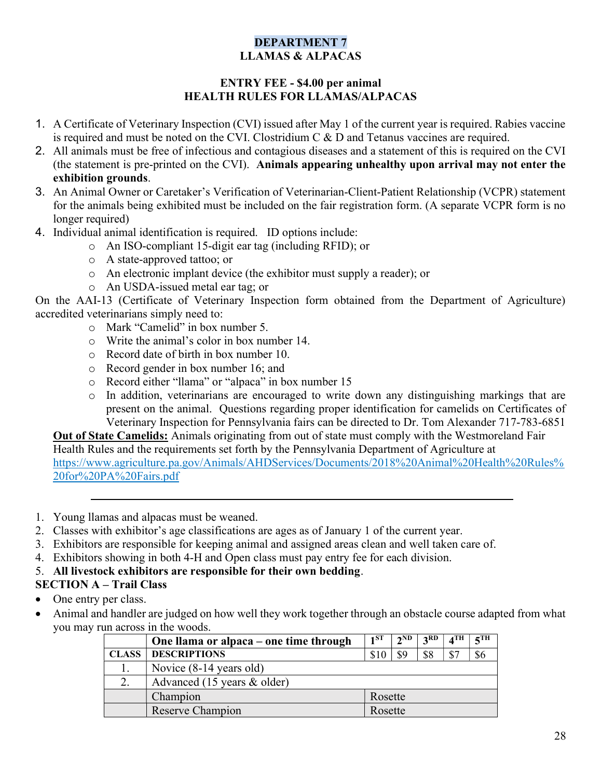# DEPARTMENT 7 LLAMAS & ALPACAS

### ENTRY FEE - \$4.00 per animal HEALTH RULES FOR LLAMAS/ALPACAS

- 1. A Certificate of Veterinary Inspection (CVI) issued after May 1 of the current year is required. Rabies vaccine is required and must be noted on the CVI. Clostridium C & D and Tetanus vaccines are required.
- 2. All animals must be free of infectious and contagious diseases and a statement of this is required on the CVI (the statement is pre-printed on the CVI). Animals appearing unhealthy upon arrival may not enter the exhibition grounds.
- 3. An Animal Owner or Caretaker's Verification of Veterinarian-Client-Patient Relationship (VCPR) statement for the animals being exhibited must be included on the fair registration form. (A separate VCPR form is no longer required)
- 4. Individual animal identification is required. ID options include:
	- o An ISO-compliant 15-digit ear tag (including RFID); or
	- o A state-approved tattoo; or
	- o An electronic implant device (the exhibitor must supply a reader); or
	- o An USDA-issued metal ear tag; or

On the AAI-13 (Certificate of Veterinary Inspection form obtained from the Department of Agriculture) accredited veterinarians simply need to:

- o Mark "Camelid" in box number 5.
- o Write the animal's color in box number 14.
- o Record date of birth in box number 10.
- o Record gender in box number 16; and
- o Record either "llama" or "alpaca" in box number 15
- o In addition, veterinarians are encouraged to write down any distinguishing markings that are present on the animal. Questions regarding proper identification for camelids on Certificates of Veterinary Inspection for Pennsylvania fairs can be directed to Dr. Tom Alexander 717-783-6851

Out of State Camelids: Animals originating from out of state must comply with the Westmoreland Fair Health Rules and the requirements set forth by the Pennsylvania Department of Agriculture at https://www.agriculture.pa.gov/Animals/AHDServices/Documents/2018%20Animal%20Health%20Rules% 20for%20PA%20Fairs.pdf

- 1. Young llamas and alpacas must be weaned.
- 2. Classes with exhibitor's age classifications are ages as of January 1 of the current year.
- 3. Exhibitors are responsible for keeping animal and assigned areas clean and well taken care of.
- 4. Exhibitors showing in both 4-H and Open class must pay entry fee for each division.
- 5. All livestock exhibitors are responsible for their own bedding.

# SECTION A – Trail Class

- One entry per class.
- Animal and handler are judged on how well they work together through an obstacle course adapted from what you may run across in the woods.

|              | One llama or alpaca – one time through | 1 <sub>ST</sub> | $2^{\rm ND}$ | 2RD | $\boldsymbol{A}^{\mathrm{TH}}$ | $5$ TH |
|--------------|----------------------------------------|-----------------|--------------|-----|--------------------------------|--------|
| <b>CLASS</b> | <b>DESCRIPTIONS</b>                    | \$10            | \$9          | \$8 | $\mathcal{S}^-$                | \$6    |
|              | Novice $(8-14 \text{ years old})$      |                 |              |     |                                |        |
|              | Advanced (15 years & older)            |                 |              |     |                                |        |
|              | Champion                               | Rosette         |              |     |                                |        |
|              | Reserve Champion                       | Rosette         |              |     |                                |        |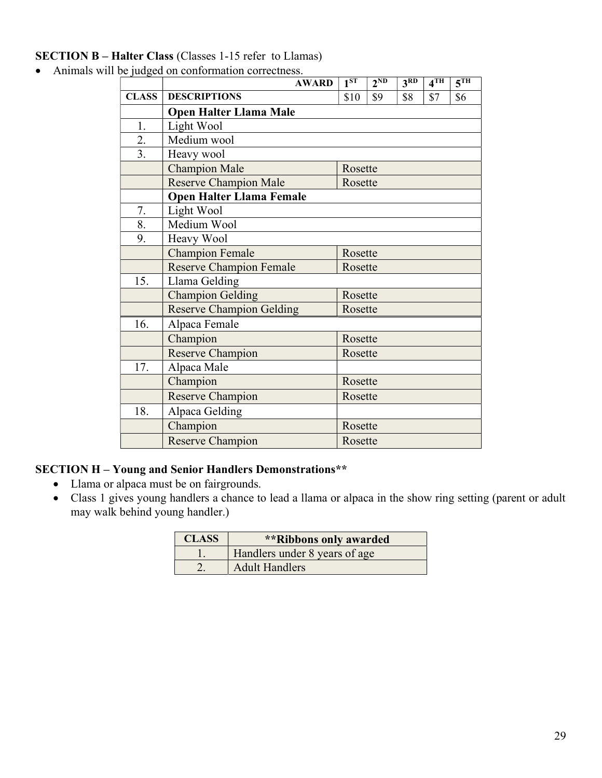## SECTION B – Halter Class (Classes 1-15 refer to Llamas)

- AWARD 1ST  $2^{ND}$  3RD 4TH 5TH CLASS DESCRIPTIONS \$10 \$9 \$8 \$7 \$6 Open Halter Llama Male 1. Light Wool 2. Medium wool 3. Heavy wool Champion Male Rosette Reserve Champion Male Rosette Open Halter Llama Female 7. Light Wool 8. Medium Wool 9. Heavy Wool Champion Female Rosette Reserve Champion Female Rosette 15. Llama Gelding Champion Gelding Rosette Reserve Champion Gelding Rosette 16. Alpaca Female Champion Rosette Reserve Champion Rosette 17. | Alpaca Male Champion Rosette Reserve Champion Rosette 18. Alpaca Gelding Champion Rosette Reserve Champion Rosette
- Animals will be judged on conformation correctness.

#### SECTION H – Young and Senior Handlers Demonstrations\*\*

- Llama or alpaca must be on fairgrounds.
- Class 1 gives young handlers a chance to lead a llama or alpaca in the show ring setting (parent or adult may walk behind young handler.)

| <b>CLASS</b> | <i>**</i> Ribbons only awarded |
|--------------|--------------------------------|
|              | Handlers under 8 years of age  |
|              | <b>Adult Handlers</b>          |